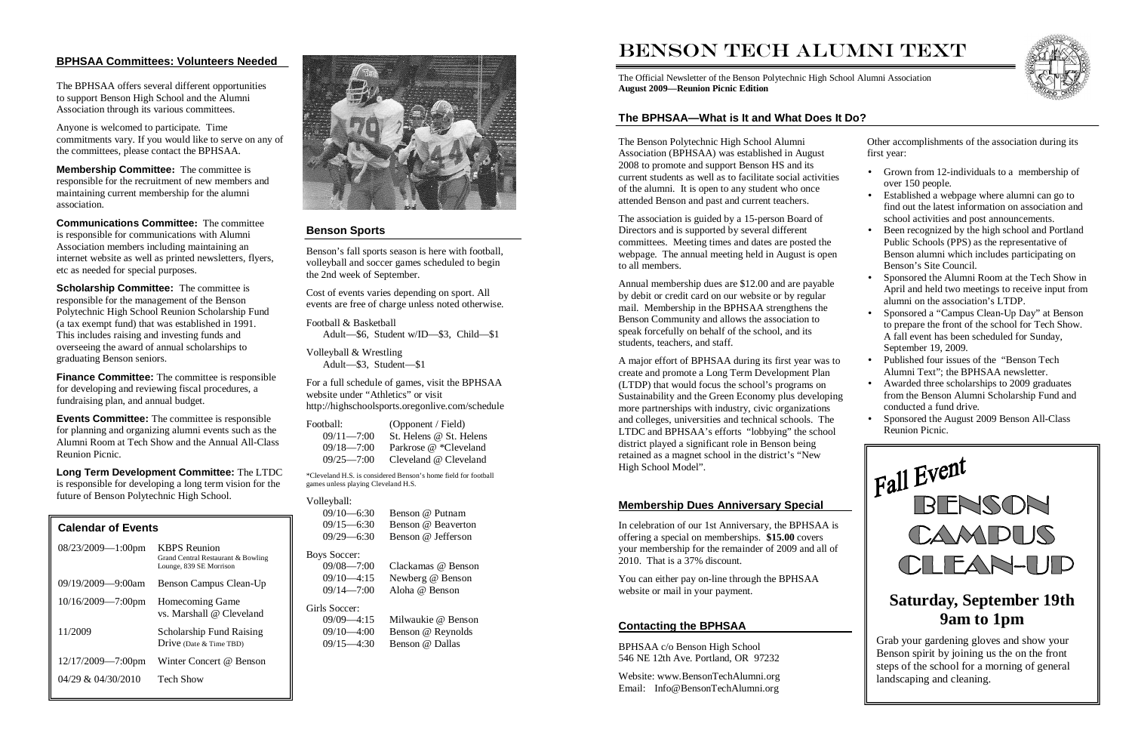### **BPHSAA Committees: Volunteers Needed**

The BPHSAA offers several different opportunities to support Benson High School and the Alumni Association through its various committees.

Anyone is welcomed to participate. Time commitments vary. If you would like to serve on any of the committees, please contact the BPHSAA.

**Membership Committee:** The committee is responsible for the recruitment of new members and maintaining current membership for the alumni association.

**Communications Committee:** The committee is responsible for communications with Alumni Association members including maintaining an internet website as well as printed newsletters, flyers,etc as needed for special purposes.

**Scholarship Committee:** The committee is responsible for the management of the Benson Polytechnic High School Reunion Scholarship Fund (a tax exempt fund) that was established in 1991. This includes raising and investing funds and overseeing the award of annual scholarships to graduating Benson seniors.

**Finance Committee:** The committee is responsible for developing and reviewing fiscal procedures, a fundraising plan, and annual budget.

**Events Committee:** The committee is responsible for planning and organizing alumni events such as the Alumni Room at Tech Show and the Annual All-Class Reunion Picnic.

> $09/09 - 4:15$ Milwaukie @ Benson 09/10—4:00 Benson @ Reynolds 09/15—4:30 Benson @ Dallas

**Long Term Development Committee:** The LTDC is responsible for developing a long term vision for the future of Benson Polytechnic High School.

### **Benson Sports**

Benson's fall sports season is here with football, volleyball and soccer games scheduled to begin the 2nd week of September.

Cost of events varies depending on sport. All events are free of charge unless noted otherwise.

Football & Basketball Adult—\$6, Student w/ID—\$3, Child—\$1

Volleyball & Wrestling Adult—\$3, Student—\$1

For a full schedule of games, visit the BPHSAA website under "Athletics" or visit http://highschoolsports.oregonlive.com/schedule

| Football:      | (Opponent / Field)      |
|----------------|-------------------------|
| $09/11 = 7:00$ | St. Helens @ St. Helens |
| $09/18 - 7:00$ | Parkrose @ *Cleveland   |
| $09/25 = 7:00$ | Cleveland @ Cleveland   |

\*Cleveland H.S. is considered Benson's home field for football games unless playing Cleveland H.S.

### Volleyball:

| $09/10 - 6:30$<br>$09/15 - 6:30$<br>$09/29 - 6:30$ | Benson @ Putnam<br>Benson @ Beaverton<br>Benson @ Jefferson |
|----------------------------------------------------|-------------------------------------------------------------|
| <b>Boys Soccer:</b>                                |                                                             |
| $09/08 - 7:00$                                     | Clackamas @ Benson                                          |
| $09/10 - 4:15$                                     | Newberg @ Benson                                            |
| $09/14 - 7:00$                                     | Aloha @ Benson                                              |
| Girls Soccer:                                      |                                                             |

| <b>Calendar of Events</b> |                                                                                      |
|---------------------------|--------------------------------------------------------------------------------------|
| $08/23/2009 - 1:00$ pm    | <b>KBPS</b> Reunion<br>Grand Central Restaurant & Bowling<br>Lounge, 839 SE Morrison |
| $09/19/2009 - 9:00am$     | Benson Campus Clean-Up                                                               |
| $10/16/2009 - 7:00$ pm    | Homecoming Game<br>vs. Marshall @ Cleveland                                          |
| 11/2009                   | <b>Scholarship Fund Raising</b><br>Drive (Date & Time TBD)                           |
| 12/17/2009-7:00pm         | Winter Concert @ Benson                                                              |
| $04/29$ & $04/30/2010$    | <b>Tech Show</b>                                                                     |
|                           |                                                                                      |



### BENSON TECH ALUMNI TEXT

The Official Newsletter of the Benson Polytechnic High School Alumni Association **August 2009—Reunion Picnic Edition**

The Benson Polytechnic High School Alumni Association (BPHSAA) was established in August 2008 to promote and support Benson HS and its current students as well as to facilitate social activities of the alumni. It is open to any student who once attended Benson and past and current teachers.

The association is guided by a 15-person Board of Directors and is supported by several different committees. Meeting times and dates are posted the webpage. The annual meeting held in August is open to all members.

Annual membership dues are \$12.00 and are payable by debit or credit card on our website or by regular mail. Membership in the BPHSAA strengthens the Benson Community and allows the association to speak forcefully on behalf of the school, and its students, teachers, and staff.

A major effort of BPHSAA during its first year was tocreate and promote a Long Term Development Plan (LTDP) that would focus the school's programs on Sustainability and the Green Economy plus developing more partnerships with industry, civic organizations and colleges, universities and technical schools. The LTDC and BPHSAA's efforts "lobbying" the school district played a significant role in Benson being retained as a magnet school in the district's "New High School Model".

Other accomplishments of the association during its first year:

- 
- 
- Grown from 12-individuals to a membership of over 150 people.
- Established a webpage where alumni can go to find out the latest information on association and school activities and post announcements.
- Been recognized by the high school and Portland Public Schools (PPS) as the representative of Benson alumni which includes participating on Benson's Site Council.
- Sponsored the Alumni Room at the Tech Show in April and held two meetings to receive input from alumni on the association's LTDP.
- Sponsored a "Campus Clean-Up Day" at Benson to prepare the front of the school for Tech Show. A fall event has been scheduled for Sunday, September 19, 2009.
- Published four issues of the "Benson Tech" Alumni Text"; the BPHSAA newsletter.
- Awarded three scholarships to 2009 graduates from the Benson Alumni Scholarship Fund and conducted a fund drive.
- Sponsored the August 2009 Benson All-Class Reunion Picnic.

### **The BPHSAA—What is It and What Does It Do?**

### **Contacting the BPHSAA**

BPHSAA c/o Benson High School 546 NE 12th Ave. Portland, OR 97232

Website: www.BensonTechAlumni.org Email: Info@BensonTechAlumni.org



### **Membership Dues Anniversary Special**

In celebration of our 1st Anniversary, the BPHSAA is offering a special on memberships. **\$15.00** covers your membership for the remainder of 2009 and all of 2010. That is a 37% discount.

You can either pay on-line through the BPHSAA website or mail in your payment.



 Grab your gardening gloves and show your Benson spirit by joining us the on the front steps of the school for a morning of general landscaping and cleaning.